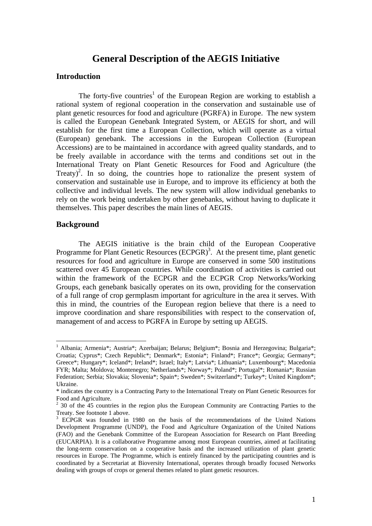# **General Description of the AEGIS Initiative**

#### **Introduction**

The forty-five countries<sup>1</sup> of the European Region are working to establish a rational system of regional cooperation in the conservation and sustainable use of plant genetic resources for food and agriculture (PGRFA) in Europe. The new system is called the European Genebank Integrated System, or AEGIS for short, and will establish for the first time a European Collection, which will operate as a virtual (European) genebank. The accessions in the European Collection (European Accessions) are to be maintained in accordance with agreed quality standards, and to be freely available in accordance with the terms and conditions set out in the International Treaty on Plant Genetic Resources for Food and Agriculture (the Treaty)<sup>2</sup>. In so doing, the countries hope to rationalize the present system of conservation and sustainable use in Europe, and to improve its efficiency at both the collective and individual levels. The new system will allow individual genebanks to rely on the work being undertaken by other genebanks, without having to duplicate it themselves. This paper describes the main lines of AEGIS.

#### **Background**

1

The AEGIS initiative is the brain child of the European Cooperative Programme for Plant Genetic Resources (ECPGR)<sup>3</sup>. At the present time, plant genetic resources for food and agriculture in Europe are conserved in some 500 institutions scattered over 45 European countries. While coordination of activities is carried out within the framework of the ECPGR and the ECPGR Crop Networks/Working Groups, each genebank basically operates on its own, providing for the conservation of a full range of crop germplasm important for agriculture in the area it serves. With this in mind, the countries of the European region believe that there is a need to improve coordination and share responsibilities with respect to the conservation of, management of and access to PGRFA in Europe by setting up AEGIS.

<sup>&</sup>lt;sup>1</sup> Albania; Armenia\*; Austria\*; Azerbaijan; Belarus; Belgium\*; Bosnia and Herzegovina; Bulgaria\*; Croatia; Cyprus\*; Czech Republic\*; Denmark\*; Estonia\*; Finland\*; France\*; Georgia; Germany\*; Greece\*; Hungary\*; Iceland\*; Ireland\*; Israel; Italy\*; Latvia\*; Lithuania\*; Luxembourg\*; Macedonia FYR; Malta; Moldova; Montenegro; Netherlands\*; Norway\*; Poland\*; Portugal\*; Romania\*; Russian Federation; Serbia; Slovakia; Slovenia\*; Spain\*; Sweden\*; Switzerland\*; Turkey\*; United Kingdom\*; Ukraine.

<sup>\*</sup> indicates the country is a Contracting Party to the International Treaty on Plant Genetic Resources for Food and Agriculture.<br><sup>2</sup> 30 of the 45 countries in the region plus the European Community are Contracting Parties to the

Treaty. See footnote 1 above.

<sup>&</sup>lt;sup>3</sup> ECPGR was founded in 1980 on the basis of the recommendations of the United Nations Development Programme (UNDP), the Food and Agriculture Organization of the United Nations (FAO) and the Genebank Committee of the European Association for Research on Plant Breeding (EUCARPIA). It is a collaborative Programme among most European countries, aimed at facilitating the long-term conservation on a cooperative basis and the increased utilization of plant genetic resources in Europe. The Programme, which is entirely financed by the participating countries and is coordinated by a Secretariat at Bioversity International, operates through broadly focused Networks dealing with groups of crops or general themes related to plant genetic resources.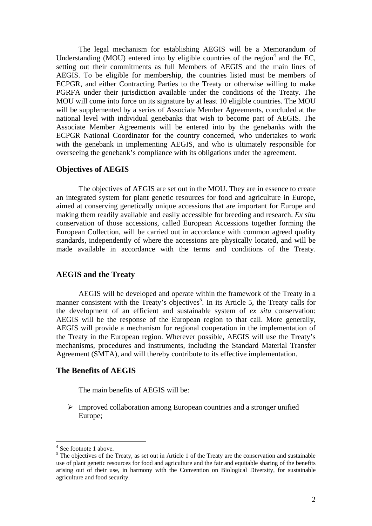The legal mechanism for establishing AEGIS will be a Memorandum of Understanding  $(MOU)$  entered into by eligible countries of the region<sup>4</sup> and the EC, setting out their commitments as full Members of AEGIS and the main lines of AEGIS. To be eligible for membership, the countries listed must be members of ECPGR, and either Contracting Parties to the Treaty or otherwise willing to make PGRFA under their jurisdiction available under the conditions of the Treaty. The MOU will come into force on its signature by at least 10 eligible countries. The MOU will be supplemented by a series of Associate Member Agreements, concluded at the national level with individual genebanks that wish to become part of AEGIS. The Associate Member Agreements will be entered into by the genebanks with the ECPGR National Coordinator for the country concerned, who undertakes to work with the genebank in implementing AEGIS, and who is ultimately responsible for overseeing the genebank's compliance with its obligations under the agreement.

# **Objectives of AEGIS**

The objectives of AEGIS are set out in the MOU. They are in essence to create an integrated system for plant genetic resources for food and agriculture in Europe, aimed at conserving genetically unique accessions that are important for Europe and making them readily available and easily accessible for breeding and research. *Ex situ* conservation of those accessions, called European Accessions together forming the European Collection, will be carried out in accordance with common agreed quality standards, independently of where the accessions are physically located, and will be made available in accordance with the terms and conditions of the Treaty.

# **AEGIS and the Treaty**

 AEGIS will be developed and operate within the framework of the Treaty in a manner consistent with the Treaty's objectives<sup>5</sup>. In its Article 5, the Treaty calls for the development of an efficient and sustainable system of *ex situ* conservation: AEGIS will be the response of the European region to that call. More generally, AEGIS will provide a mechanism for regional cooperation in the implementation of the Treaty in the European region. Wherever possible, AEGIS will use the Treaty's mechanisms, procedures and instruments, including the Standard Material Transfer Agreement (SMTA), and will thereby contribute to its effective implementation.

#### **The Benefits of AEGIS**

The main benefits of AEGIS will be:

¾ Improved collaboration among European countries and a stronger unified Europe;

<u>.</u>

<sup>4</sup> See footnote 1 above.

 $<sup>5</sup>$  The objectives of the Treaty, as set out in Article 1 of the Treaty are the conservation and sustainable</sup> use of plant genetic resources for food and agriculture and the fair and equitable sharing of the benefits arising out of their use, in harmony with the Convention on Biological Diversity, for sustainable agriculture and food security.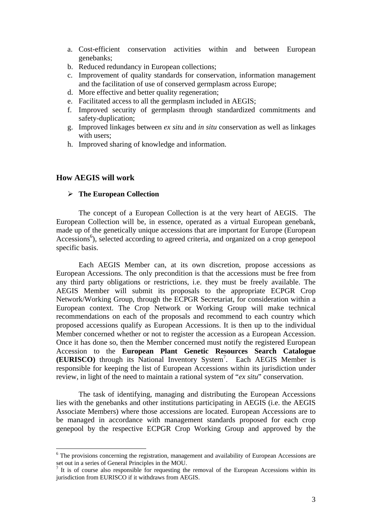- a. Cost-efficient conservation activities within and between European genebanks;
- b. Reduced redundancy in European collections;
- c. Improvement of quality standards for conservation, information management and the facilitation of use of conserved germplasm across Europe;
- d. More effective and better quality regeneration;
- e. Facilitated access to all the germplasm included in AEGIS;
- f. Improved security of germplasm through standardized commitments and safety-duplication;
- g. Improved linkages between *ex situ* and *in situ* conservation as well as linkages with users:
- h. Improved sharing of knowledge and information.

# **How AEGIS will work**

1

#### ¾ **The European Collection**

The concept of a European Collection is at the very heart of AEGIS. The European Collection will be, in essence, operated as a virtual European genebank, made up of the genetically unique accessions that are important for Europe (European Accessions<sup>6</sup>), selected according to agreed criteria, and organized on a crop genepool specific basis.

Each AEGIS Member can, at its own discretion, propose accessions as European Accessions. The only precondition is that the accessions must be free from any third party obligations or restrictions, i.e. they must be freely available. The AEGIS Member will submit its proposals to the appropriate ECPGR Crop Network/Working Group, through the ECPGR Secretariat, for consideration within a European context. The Crop Network or Working Group will make technical recommendations on each of the proposals and recommend to each country which proposed accessions qualify as European Accessions. It is then up to the individual Member concerned whether or not to register the accession as a European Accession. Once it has done so, then the Member concerned must notify the registered European Accession to the **European Plant Genetic Resources Search Catalogue (EURISCO)** through its National Inventory System7 . Each AEGIS Member is responsible for keeping the list of European Accessions within its jurisdiction under review, in light of the need to maintain a rational system of "*ex situ*" conservation.

The task of identifying, managing and distributing the European Accessions lies with the genebanks and other institutions participating in AEGIS (i.e. the AEGIS Associate Members) where those accessions are located. European Accessions are to be managed in accordance with management standards proposed for each crop genepool by the respective ECPGR Crop Working Group and approved by the

<sup>&</sup>lt;sup>6</sup> The provisions concerning the registration, management and availability of European Accessions are set out in a series of General Principles in the MOU.

 $<sup>7</sup>$  It is of course also responsible for requesting the removal of the European Accessions within its</sup> jurisdiction from EURISCO if it withdraws from AEGIS.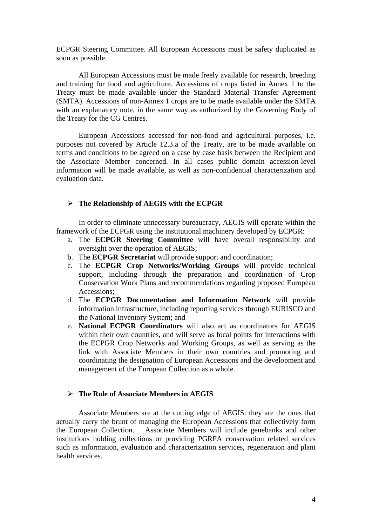ECPGR Steering Committee. All European Accessions must be safety duplicated as soon as possible.

All European Accessions must be made freely available for research, breeding and training for food and agriculture. Accessions of crops listed in Annex 1 to the Treaty must be made available under the Standard Material Transfer Agreement (SMTA). Accessions of non-Annex 1 crops are to be made available under the SMTA with an explanatory note, in the same way as authorized by the Governing Body of the Treaty for the CG Centres.

European Accessions accessed for non-food and agricultural purposes, i.e. purposes not covered by Article 12.3.a of the Treaty, are to be made available on terms and conditions to be agreed on a case by case basis between the Recipient and the Associate Member concerned. In all cases public domain accession-level information will be made available, as well as non-confidential characterization and evaluation data.

# ¾ **The Relationship of AEGIS with the ECPGR**

In order to eliminate unnecessary bureaucracy, AEGIS will operate within the framework of the ECPGR using the institutional machinery developed by ECPGR:

- a. The **ECPGR Steering Committee** will have overall responsibility and oversight over the operation of AEGIS;
- b. The **ECPGR Secretariat** will provide support and coordination;
- c. The **ECPGR Crop Networks/Working Groups** will provide technical support, including through the preparation and coordination of Crop Conservation Work Plans and recommendations regarding proposed European Accessions;
- d. The **ECPGR Documentation and Information Network** will provide information infrastructure, including reporting services through EURISCO and the National Inventory System; and
- e. **National ECPGR Coordinators** will also act as coordinators for AEGIS within their own countries, and will serve as focal points for interactions with the ECPGR Crop Networks and Working Groups, as well as serving as the link with Associate Members in their own countries and promoting and coordinating the designation of European Accessions and the development and management of the European Collection as a whole.

# ¾ **The Role of Associate Members in AEGIS**

Associate Members are at the cutting edge of AEGIS: they are the ones that actually carry the brunt of managing the European Accessions that collectively form the European Collection. Associate Members will include genebanks and other institutions holding collections or providing PGRFA conservation related services such as information, evaluation and characterization services, regeneration and plant health services.